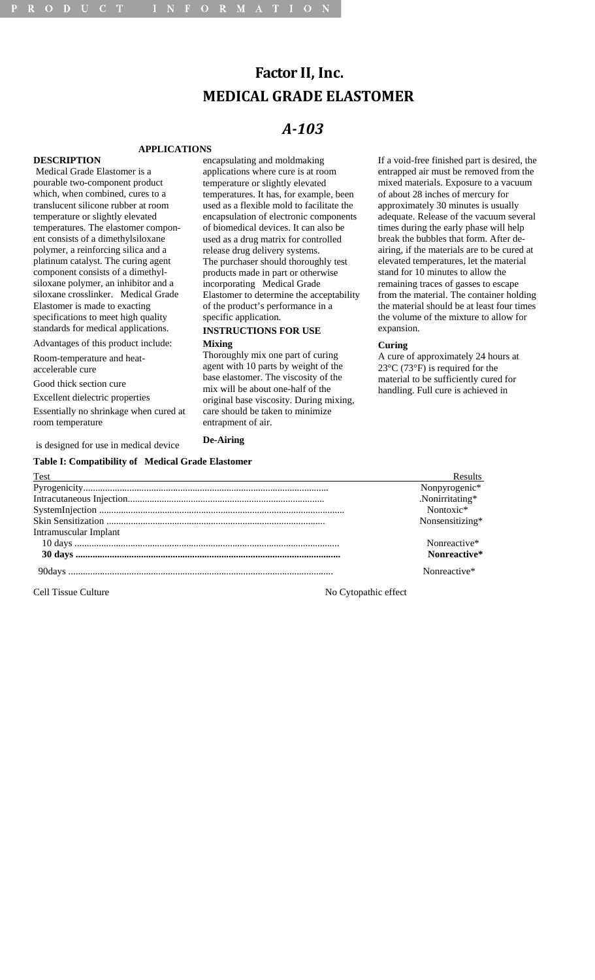# **Factor II, Inc. MEDICAL GRADE ELASTOMER**

# *A103*

#### **APPLICATIONS**

# **DESCRIPTION**

 Medical Grade Elastomer is a pourable two-component product which, when combined, cures to a translucent silicone rubber at room temperature or slightly elevated temperatures. The elastomer component consists of a dimethylsiloxane polymer, a reinforcing silica and a platinum catalyst. The curing agent component consists of a dimethylsiloxane polymer, an inhibitor and a siloxane crosslinker. Medical Grade Elastomer is made to exacting specifications to meet high quality standards for medical applications.

Advantages of this product include: Room-temperature and heat-

accelerable cure

Good thick section cure

Excellent dielectric properties

Essentially no shrinkage when cured at room temperature

is designed for use in medical device

**Table I: Compatibility of Medical Grade Elastomer** 

encapsulating and moldmaking applications where cure is at room temperature or slightly elevated temperatures. It has, for example, been used as a flexible mold to facilitate the encapsulation of electronic components of biomedical devices. It can also be used as a drug matrix for controlled release drug delivery systems. The purchaser should thoroughly test products made in part or otherwise incorporating Medical Grade Elastomer to determine the acceptability of the product's performance in a specific application.

### **INSTRUCTIONS FOR USE Mixing**

Thoroughly mix one part of curing agent with 10 parts by weight of the base elastomer. The viscosity of the mix will be about one-half of the original base viscosity. During mixing, care should be taken to minimize entrapment of air.

# **De-Airing**

If a void-free finished part is desired, the entrapped air must be removed from the mixed materials. Exposure to a vacuum of about 28 inches of mercury for approximately 30 minutes is usually adequate. Release of the vacuum several times during the early phase will help break the bubbles that form. After deairing, if the materials are to be cured at elevated temperatures, let the material stand for 10 minutes to allow the remaining traces of gasses to escape from the material. The container holding the material should be at least four times the volume of the mixture to allow for expansion.

# **Curing**

A cure of approximately 24 hours at 23°C (73°F) is required for the material to be sufficiently cured for handling. Full cure is achieved in

| Test                  | Results         |
|-----------------------|-----------------|
|                       | Nonpyrogenic*   |
|                       | .Nonirritating* |
|                       | Nontoxic*       |
|                       | Nonsensitizing* |
| Intramuscular Implant |                 |
|                       | Nonreactive*    |
|                       | Nonreactive*    |
|                       | Nonreactive*    |

Cell Tissue Culture No Cytopathic effect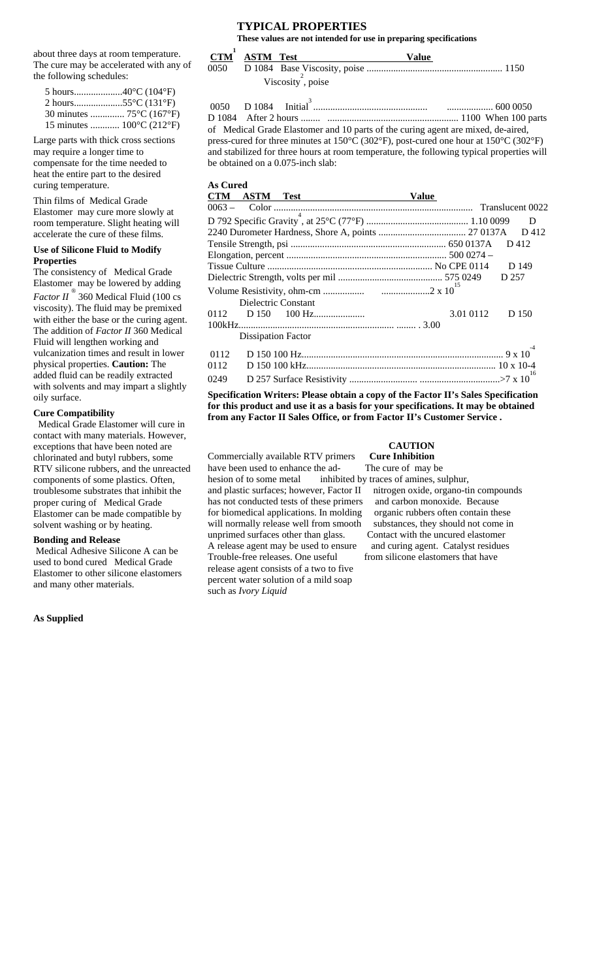about three days at room temperature. The cure may be accelerated with any of the following schedules:

| 30 minutes  75°C (167°F)           |  |
|------------------------------------|--|
| 15 minutes $100^{\circ}$ C (212°F) |  |

Large parts with thick cross sections may require a longer time to compensate for the time needed to heat the entire part to the desired curing temperature.

Thin films of Medical Grade Elastomer may cure more slowly at room temperature. Slight heating will accelerate the cure of these films.

#### **Use of Silicone Fluid to Modify Properties**

The consistency of Medical Grade Elastomer may be lowered by adding *Factor II* ® 360 Medical Fluid (100 cs viscosity). The fluid may be premixed with either the base or the curing agent. The addition of *Factor II* 360 Medical Fluid will lengthen working and vulcanization times and result in lower physical properties. **Caution:** The added fluid can be readily extracted with solvents and may impart a slightly oily surface.

#### **Cure Compatibility**

 Medical Grade Elastomer will cure in contact with many materials. However, exceptions that have been noted are chlorinated and butyl rubbers, some RTV silicone rubbers, and the unreacted components of some plastics. Often, troublesome substrates that inhibit the proper curing of Medical Grade Elastomer can be made compatible by solvent washing or by heating.

# **Bonding and Release**

 Medical Adhesive Silicone A can be used to bond cured Medical Grade Elastomer to other silicone elastomers and many other materials.

#### **As Supplied**

#### **TYPICAL PROPERTIES These values are not intended for use in preparing specifications**

|      | CTM ASTM Test | Value            |  |
|------|---------------|------------------|--|
| 0050 |               |                  |  |
|      |               | Viscosity, poise |  |

0050 D 1084 Initial3 ............................................... ................... 600 0050 D 1084 After 2 hours ........ ...................................................... 1100 When 100 parts of Medical Grade Elastomer and 10 parts of the curing agent are mixed, de-aired, press-cured for three minutes at 150°C (302°F), post-cured one hour at 150°C (302°F) and stabilized for three hours at room temperature, the following typical properties will be obtained on a 0.075-inch slab:

# **As Cured**

| CTM ASTM Test             | <b>Value</b> |       |
|---------------------------|--------------|-------|
|                           |              |       |
|                           |              | D     |
|                           |              | D 412 |
|                           |              | D 412 |
|                           |              |       |
|                           |              | D 149 |
|                           |              |       |
|                           |              |       |
| Dielectric Constant       |              |       |
|                           | 3.01 0112    | D 150 |
| <b>Dissipation Factor</b> |              |       |
| 0112                      |              |       |
| 0112                      |              |       |
| 0249                      |              | -16   |

**Specification Writers: Please obtain a copy of the Factor II's Sales Specification for this product and use it as a basis for your specifications. It may be obtained from any Factor II Sales Office, or from Factor II's Customer Service .** 

#### **CAUTION**

Commercially available RTV primers **Cure Inhibition** 

have been used to enhance the ad-<br>The cure of may be hesion of to some metal inhibited by traces of amines, sulphur, has not conducted tests of these primers and carbon monoxide. Because for biomedical applications. In molding organic rubbers often contain these will normally release well from smooth substances, they should not come in unprimed surfaces other than glass. Contact with the uncured elastomer A release agent may be used to ensure and curing agent. Catalyst residues Trouble-free releases. One useful from silicone elastomers that have release agent consists of a two to five percent water solution of a mild soap such as *Ivory Liquid*

and plastic surfaces; however, Factor II nitrogen oxide, organo-tin compounds